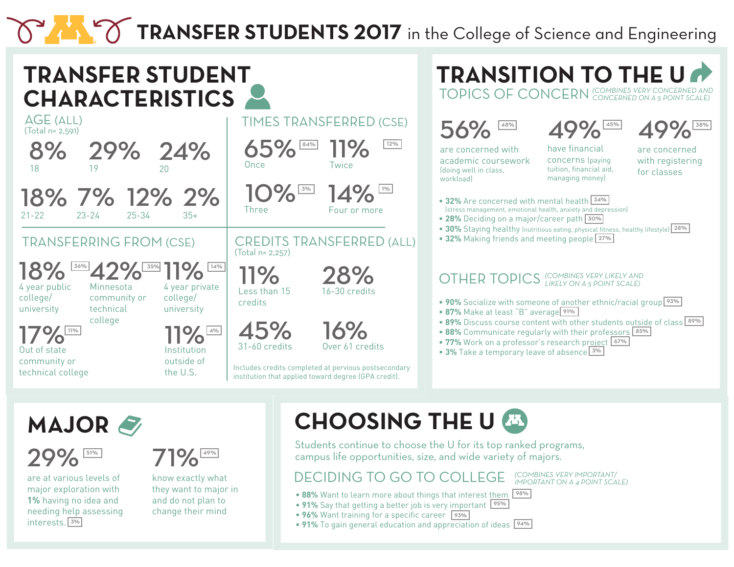# **TRANSFER STUDENTS 2017** in the College of Science and Engineering



**MAJOR**



are at various levels of major exploration with **1%** having no idea and needing help assessing interests. 3%



know exactly what they want to major in and do not plan to change their mind

### **CHOOSING THE U**

Students continue to choose the U for its top ranked programs, campus life opportunities, size, and wide variety of majors.

> *(COMBINES VERY IMPORTANT/ IMPORTANT ON A 4 POINT SCALE)*

#### DECIDING TO GO TO COLLEGE

- 88% Want to learn more about things that interest them <sup>98%</sup>
- 91% Say that getting a better job is very important <sup>95%</sup>
- 96% Want training for a specific career <sup>93%</sup>
- 91% To gain general education and appreciation of ideas <sup>94%</sup>